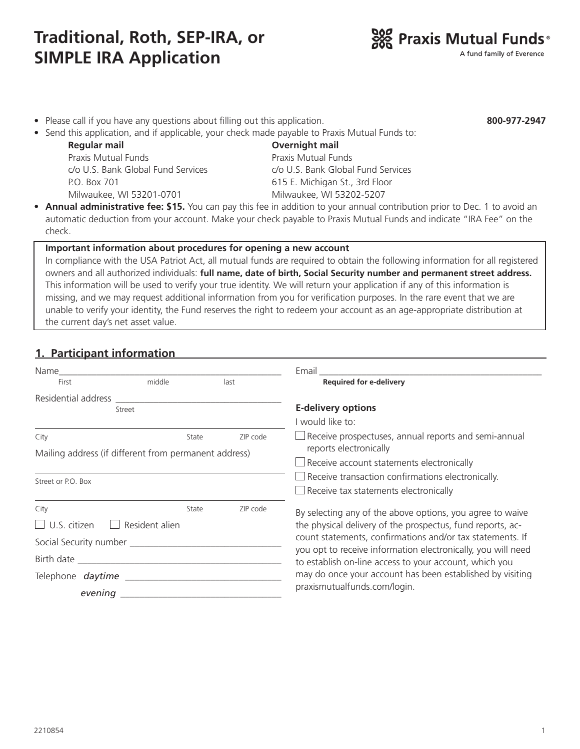# **Traditional, Roth, SEP-IRA, or SIMPLE IRA Application**

- Please call if you have any questions about filling out this application.
- Send this application, and if applicable, your check made payable to Praxis Mutual Funds to:

 **Regular mail Overnight mail** Praxis Mutual Funds Praxis Mutual Funds P.O. Box 701 615 E. Michigan St., 3rd Floor Milwaukee, WI 53201-0701 Milwaukee, WI 53202-5207

c/o U.S. Bank Global Fund Services c/o U.S. Bank Global Fund Services

• **Annual administrative fee: \$15.** You can pay this fee in addition to your annual contribution prior to Dec. 1 to avoid an automatic deduction from your account. Make your check payable to Praxis Mutual Funds and indicate "IRA Fee" on the check.

#### **Important information about procedures for opening a new account**

In compliance with the USA Patriot Act, all mutual funds are required to obtain the following information for all registered owners and all authorized individuals: **full name, date of birth, Social Security number and permanent street address.**  This information will be used to verify your true identity. We will return your application if any of this information is missing, and we may request additional information from you for verification purposes. In the rare event that we are unable to verify your identity, the Fund reserves the right to redeem your account as an age-appropriate distribution at the current day's net asset value.

#### **1. Participant information**

| Name                                  |                                                                |          |  |
|---------------------------------------|----------------------------------------------------------------|----------|--|
| First                                 | middle                                                         | last     |  |
| Residential address                   |                                                                |          |  |
|                                       | Street                                                         |          |  |
|                                       |                                                                |          |  |
| City                                  | State<br>Mailing address (if different from permanent address) | ZIP code |  |
|                                       |                                                                |          |  |
| Street or P.O. Box                    |                                                                |          |  |
|                                       |                                                                |          |  |
| City                                  | State                                                          | ZIP code |  |
| $\Box$ U.S. citizen                   | Resident alien                                                 |          |  |
| Social Security number ______________ |                                                                |          |  |
|                                       |                                                                |          |  |
|                                       |                                                                |          |  |
|                                       |                                                                |          |  |
| evening                               |                                                                |          |  |



**800-977-2947**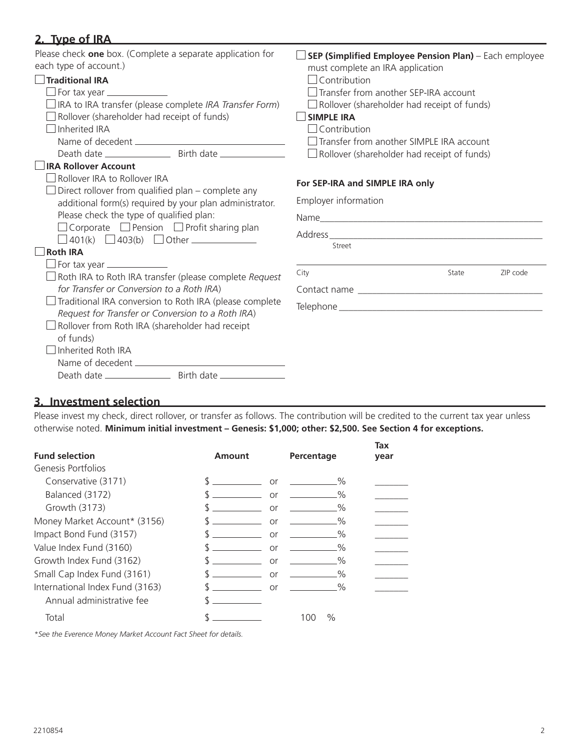| 2. Type of IRA                                                                                                                                                                                                                                                                                                                                                      |                                                                                                                                                                                                                                                                                                                                                                       |  |  |
|---------------------------------------------------------------------------------------------------------------------------------------------------------------------------------------------------------------------------------------------------------------------------------------------------------------------------------------------------------------------|-----------------------------------------------------------------------------------------------------------------------------------------------------------------------------------------------------------------------------------------------------------------------------------------------------------------------------------------------------------------------|--|--|
| Please check one box. (Complete a separate application for<br>each type of account.)<br>$\Box$ Traditional IRA<br>$\Box$ For tax year $\Box$<br>$\Box$ IRA to IRA transfer (please complete IRA Transfer Form)<br>$\Box$ Rollover (shareholder had receipt of funds)<br>$\Box$ Inherited IRA                                                                        | SEP (Simplified Employee Pension Plan) - Each employee<br>must complete an IRA application<br>$\Box$ Contribution<br>Transfer from another SEP-IRA account<br>$\Box$ Rollover (shareholder had receipt of funds)<br><b>SIMPLE IRA</b><br>$\Box$ Contribution<br>$\Box$ Transfer from another SIMPLE IRA account<br>$\Box$ Rollover (shareholder had receipt of funds) |  |  |
| <b>IRA Rollover Account</b><br>$\Box$ Rollover IRA to Rollover IRA<br>Direct rollover from qualified plan - complete any<br>additional form(s) required by your plan administrator.<br>Please check the type of qualified plan:<br>$\Box$ Corporate $\Box$ Pension $\Box$ Profit sharing plan<br>$\Box$ 401(k) $\Box$ 403(b) $\Box$ Other $\Box$<br><b>Roth IRA</b> | For SEP-IRA and SIMPLE IRA only<br>Employer information<br>Street                                                                                                                                                                                                                                                                                                     |  |  |
| For tax year ________________<br>$\Box$ Roth IRA to Roth IRA transfer (please complete Request<br>for Transfer or Conversion to a Roth IRA)<br>Traditional IRA conversion to Roth IRA (please complete<br>Request for Transfer or Conversion to a Roth IRA)<br>Rollover from Roth IRA (shareholder had receipt<br>of funds)<br>Inherited Roth IRA                   | City<br>ZIP code<br>State                                                                                                                                                                                                                                                                                                                                             |  |  |

### **3. Investment selection**

Please invest my check, direct rollover, or transfer as follows. The contribution will be credited to the current tax year unless otherwise noted. **Minimum initial investment – Genesis: \$1,000; other: \$2,500. See Section 4 for exceptions.**

| <b>Fund selection</b>           | Amount | Percentage      | Tax<br>year |
|---------------------------------|--------|-----------------|-------------|
| Genesis Portfolios              |        |                 |             |
| Conservative (3171)             |        | %<br>or         |             |
| Balanced (3172)                 |        | %<br>or         |             |
| Growth (3173)                   |        | $\%$<br>or      |             |
| Money Market Account* (3156)    |        | $\%$<br>or      |             |
| Impact Bond Fund (3157)         |        | $\%$<br>or      |             |
| Value Index Fund (3160)         |        | $\%$<br>or      |             |
| Growth Index Fund (3162)        |        | $\%$<br>or      |             |
| Small Cap Index Fund (3161)     |        | $\%$<br>or      |             |
| International Index Fund (3163) |        | $\%$<br>or      |             |
| Annual administrative fee       |        |                 |             |
| Total                           |        | $\%$<br>( ) ( ) |             |
|                                 |        |                 |             |

*\*See the Everence Money Market Account Fact Sheet for details.*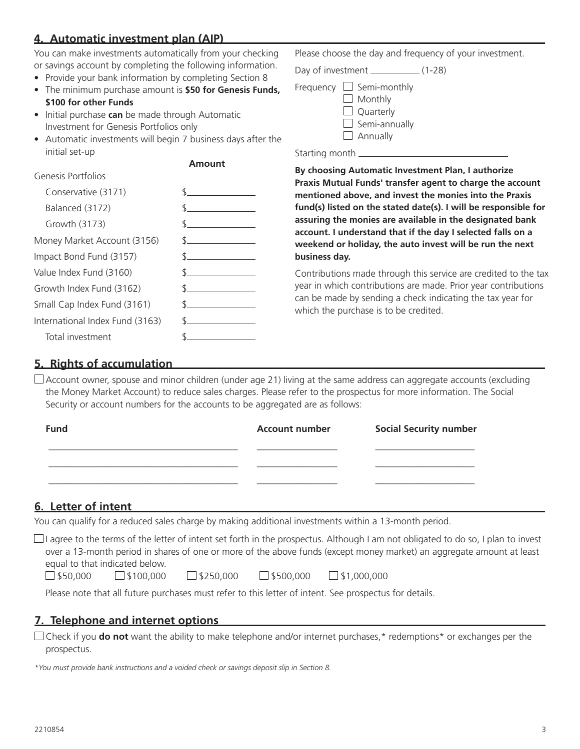## **4. Automatic investment plan (AIP)**

You can make investments automatically from your checking or savings account by completing the following information.

- Provide your bank information by completing Section 8
- The minimum purchase amount is **\$50 for Genesis Funds, \$100 for other Funds**
- Initial purchase **can** be made through Automatic Investment for Genesis Portfolios only
- Automatic investments will begin 7 business days after the initial set-up

#### **Amount**

| Genesis Portfolios              |                                                 |
|---------------------------------|-------------------------------------------------|
| Conservative (3171)             | $\mathcal{S}$ and $\mathcal{S}$                 |
| Balanced (3172)                 | <u> 1989 - Jan Albert Barnett, fransk konge</u> |
| Growth (3173)                   | $\sim$ $\sim$                                   |
| Money Market Account (3156)     | $\mathcal{S}$                                   |
| Impact Bond Fund (3157)         | $\frac{1}{2}$                                   |
| Value Index Fund (3160)         | $\sim$                                          |
| Growth Index Fund (3162)        | $\mathcal{S}$ and $\mathcal{S}$                 |
| Small Cap Index Fund (3161)     | $\sim$                                          |
| International Index Fund (3163) | <u>and the state of the state of the state</u>  |
| Total investment                |                                                 |

Please choose the day and frequency of your investment.

Day of investment \_\_\_\_\_\_\_\_\_\_\_\_\_ (1-28)

|  | Frequency $\Box$ Semi-monthly |
|--|-------------------------------|
|  | $\Box$ Monthly                |
|  | $\Box$ Quarterly              |
|  | $\Box$ Semi-annually          |
|  | $\Box$ Annually               |

Starting month

**By choosing Automatic Investment Plan, I authorize Praxis Mutual Funds' transfer agent to charge the account mentioned above, and invest the monies into the Praxis fund(s) listed on the stated date(s). I will be responsible for assuring the monies are available in the designated bank account. I understand that if the day I selected falls on a weekend or holiday, the auto invest will be run the next business day.**

Contributions made through this service are credited to the tax year in which contributions are made. Prior year contributions can be made by sending a check indicating the tax year for which the purchase is to be credited.

#### **5. Rights of accumulation**

 $\Box$  Account owner, spouse and minor children (under age 21) living at the same address can aggregate accounts (excluding the Money Market Account) to reduce sales charges. Please refer to the prospectus for more information. The Social Security or account numbers for the accounts to be aggregated are as follows:

| <b>Fund</b> | <b>Account number</b> | <b>Social Security number</b> |
|-------------|-----------------------|-------------------------------|
|             |                       |                               |
|             |                       |                               |
|             |                       |                               |

#### **6. Letter of intent**

You can qualify for a reduced sales charge by making additional investments within a 13-month period.

 $\Box$  I agree to the terms of the letter of intent set forth in the prospectus. Although I am not obligated to do so, I plan to invest over a 13-month period in shares of one or more of the above funds (except money market) an aggregate amount at least equal to that indicated below.

 $\Box$ \$50,000  $\Box$ \$100,000  $\Box$ \$250,000  $\Box$ \$500,000  $\Box$ \$1,000,000

| $\_$ \$100,000 |  |
|----------------|--|
|----------------|--|

Please note that all future purchases must refer to this letter of intent. See prospectus for details.

# **7. Telephone and internet options**

Check if you **do not** want the ability to make telephone and/or internet purchases,\* redemptions\* or exchanges per the prospectus.

*\*You must provide bank instructions and a voided check or savings deposit slip in Section 8.*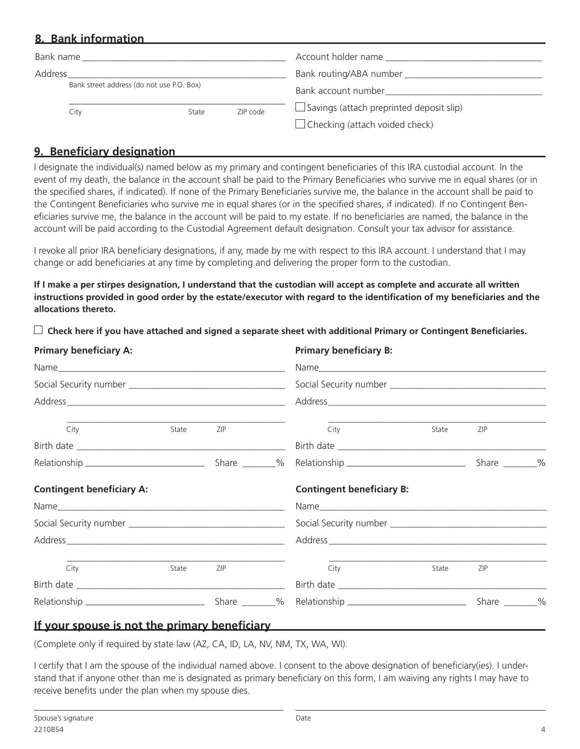### **8. Bank information**

| Bank name                                 |      |       |                     | Account holder name                             |
|-------------------------------------------|------|-------|---------------------|-------------------------------------------------|
| Address                                   |      |       |                     |                                                 |
| Bank street address (do not use P.O. Box) |      |       | Bank account number |                                                 |
|                                           | City | State | ZIP code            | $\Box$ Savings (attach preprinted deposit slip) |
|                                           |      |       |                     | $\Box$ Checking (attach voided check)           |

### **9. Beneficiary designation**

I designate the individual(s) named below as my primary and contingent beneficiaries of this IRA custodial account. In the event of my death, the balance in the account shall be paid to the Primary Beneficiaries who survive me in equal shares (or in the specified shares, if indicated). If none of the Primary Beneficiaries survive me, the balance in the account shall be paid to the Contingent Beneficiaries who survive me in equal shares (or in the specified shares, if indicated). If no Contingent Beneficiaries survive me, the balance in the account will be paid to my estate. If no beneficiaries are named, the balance in the account will be paid according to the Custodial Agreement default designation. Consult your tax advisor for assistance.

I revoke all prior IRA beneficiary designations, if any, made by me with respect to this IRA account. I understand that I may change or add beneficiaries at any time by completing and delivering the proper form to the custodian.

**If I make a per stirpes designation, I understand that the custodian will accept as complete and accurate all written instructions provided in good order by the estate/executor with regard to the identification of my beneficiaries and the allocations thereto.** 

 **Check here if you have attached and signed a separate sheet with additional Primary or Contingent Beneficiaries.**

| <b>Primary beneficiary A:</b>    |       | <b>Primary beneficiary B:</b> |                                  |       |                   |  |
|----------------------------------|-------|-------------------------------|----------------------------------|-------|-------------------|--|
|                                  |       |                               |                                  |       |                   |  |
|                                  |       |                               |                                  |       |                   |  |
|                                  |       |                               |                                  |       |                   |  |
| City                             | State | ZIP                           | City                             | State | ZIP               |  |
|                                  |       |                               |                                  |       |                   |  |
|                                  |       |                               |                                  |       |                   |  |
| <b>Contingent beneficiary A:</b> |       |                               | <b>Contingent beneficiary B:</b> |       |                   |  |
|                                  |       |                               |                                  |       |                   |  |
|                                  |       |                               |                                  |       |                   |  |
|                                  |       |                               |                                  |       |                   |  |
| City                             | State | ZIP                           | City                             | State | ZIP               |  |
|                                  |       |                               |                                  |       |                   |  |
|                                  |       |                               |                                  |       | Share $\_\_\_\_\$ |  |

#### **If your spouse is not the primary beneficiary**

(Complete only if required by state law (AZ, CA, ID, LA, NV, NM, TX, WA, WI).

I certify that I am the spouse of the individual named above. I consent to the above designation of beneficiary(ies). I understand that if anyone other than me is designated as primary beneficiary on this form, I am waiving any rights I may have to receive benefits under the plan when my spouse dies.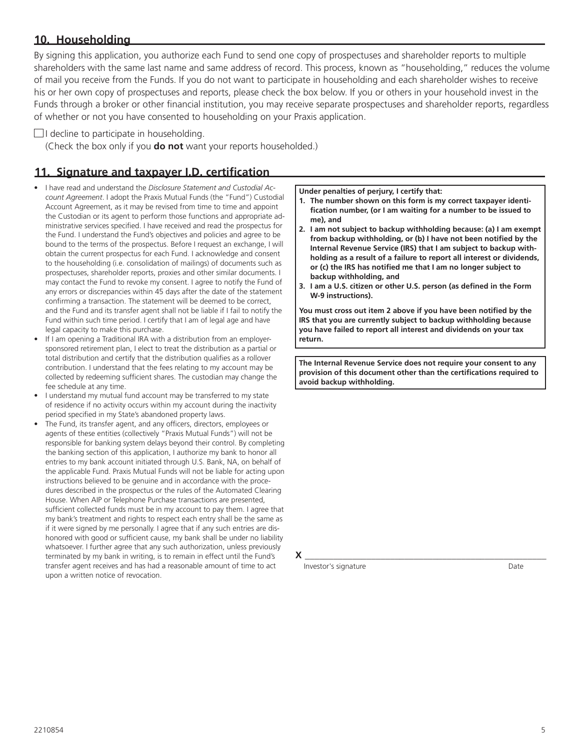#### **10. Householding**

By signing this application, you authorize each Fund to send one copy of prospectuses and shareholder reports to multiple shareholders with the same last name and same address of record. This process, known as "householding," reduces the volume of mail you receive from the Funds. If you do not want to participate in householding and each shareholder wishes to receive his or her own copy of prospectuses and reports, please check the box below. If you or others in your household invest in the Funds through a broker or other financial institution, you may receive separate prospectuses and shareholder reports, regardless of whether or not you have consented to householding on your Praxis application.

#### $\Box$ I decline to participate in householding.

(Check the box only if you **do not** want your reports householded.)

### **11. Signature and taxpayer I.D. certification**

- I have read and understand the *Disclosure Statement and Custodial Account Agreement*. I adopt the Praxis Mutual Funds (the "Fund") Custodial Account Agreement, as it may be revised from time to time and appoint the Custodian or its agent to perform those functions and appropriate administrative services specified. I have received and read the prospectus for the Fund. I understand the Fund's objectives and policies and agree to be bound to the terms of the prospectus. Before I request an exchange, I will obtain the current prospectus for each Fund. I acknowledge and consent to the householding (i.e. consolidation of mailings) of documents such as prospectuses, shareholder reports, proxies and other similar documents. I may contact the Fund to revoke my consent. I agree to notify the Fund of any errors or discrepancies within 45 days after the date of the statement confirming a transaction. The statement will be deemed to be correct, and the Fund and its transfer agent shall not be liable if I fail to notify the Fund within such time period. I certify that I am of legal age and have legal capacity to make this purchase.
- If I am opening a Traditional IRA with a distribution from an employersponsored retirement plan, I elect to treat the distribution as a partial or total distribution and certify that the distribution qualifies as a rollover contribution. I understand that the fees relating to my account may be collected by redeeming sufficient shares. The custodian may change the fee schedule at any time.
- I understand my mutual fund account may be transferred to my state of residence if no activity occurs within my account during the inactivity period specified in my State's abandoned property laws.
- The Fund, its transfer agent, and any officers, directors, employees or agents of these entities (collectively "Praxis Mutual Funds") will not be responsible for banking system delays beyond their control. By completing the banking section of this application, I authorize my bank to honor all entries to my bank account initiated through U.S. Bank, NA, on behalf of the applicable Fund. Praxis Mutual Funds will not be liable for acting upon instructions believed to be genuine and in accordance with the procedures described in the prospectus or the rules of the Automated Clearing House. When AIP or Telephone Purchase transactions are presented, sufficient collected funds must be in my account to pay them. I agree that my bank's treatment and rights to respect each entry shall be the same as if it were signed by me personally. I agree that if any such entries are dishonored with good or sufficient cause, my bank shall be under no liability whatsoever. I further agree that any such authorization, unless previously terminated by my bank in writing, is to remain in effect until the Fund's transfer agent receives and has had a reasonable amount of time to act upon a written notice of revocation.

**Under penalties of perjury, I certify that:**

- **1. The number shown on this form is my correct taxpayer identification number, (or I am waiting for a number to be issued to me), and**
- **2. I am not subject to backup withholding because: (a) I am exempt from backup withholding, or (b) I have not been notified by the Internal Revenue Service (IRS) that I am subject to backup withholding as a result of a failure to report all interest or dividends, or (c) the IRS has notified me that I am no longer subject to backup withholding, and**
- **3. I am a U.S. citizen or other U.S. person (as defined in the Form W-9 instructions).**

**You must cross out item 2 above if you have been notified by the IRS that you are currently subject to backup withholding because you have failed to report all interest and dividends on your tax return.**

**The Internal Revenue Service does not require your consent to any provision of this document other than the certifications required to avoid backup withholding.** 

**X** \_\_\_\_\_\_\_\_\_\_\_\_\_\_\_\_\_\_\_\_\_\_\_\_\_\_\_\_\_\_\_\_\_\_\_\_\_\_\_\_\_\_\_\_\_\_\_\_\_\_\_

Investor's signature Date